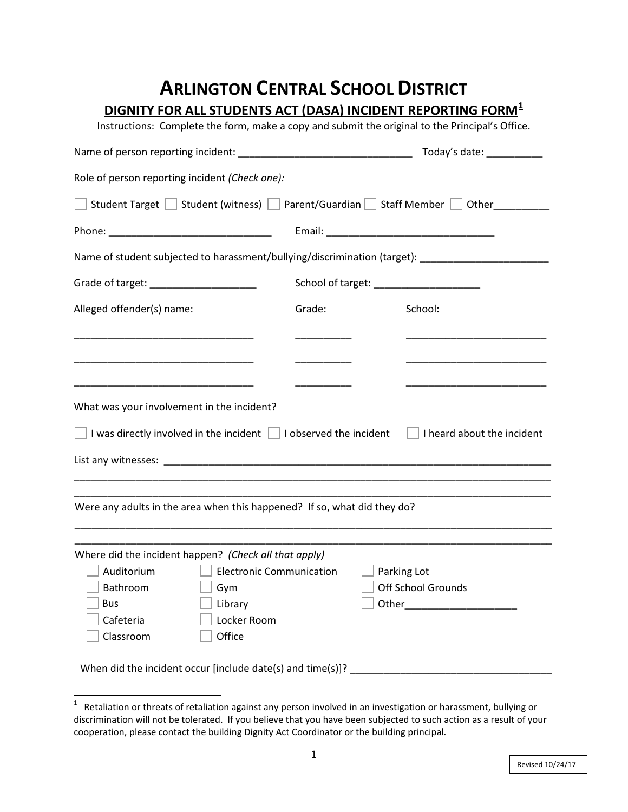## **ARLINGTON CENTRAL SCHOOL DISTRICT**

**DIGNITY FOR ALL STUDENTS ACT (DASA) INCIDENT REPORTING FORM[1](#page-0-0)**

Instructions: Complete the form, make a copy and submit the original to the Principal's Office.

|                                                                                                                                                               |                                         |                           | Today's date: 1992                           |  |  |  |  |
|---------------------------------------------------------------------------------------------------------------------------------------------------------------|-----------------------------------------|---------------------------|----------------------------------------------|--|--|--|--|
| Role of person reporting incident (Check one):                                                                                                                |                                         |                           |                                              |  |  |  |  |
| Student Target Student (witness) Parent/Guardian Staff Member Student Cother                                                                                  |                                         |                           |                                              |  |  |  |  |
|                                                                                                                                                               |                                         |                           |                                              |  |  |  |  |
| Name of student subjected to harassment/bullying/discrimination (target): _________________________                                                           |                                         |                           |                                              |  |  |  |  |
| Grade of target: ______________________                                                                                                                       | School of target: _____________________ |                           |                                              |  |  |  |  |
| Alleged offender(s) name:                                                                                                                                     | Grade:                                  | School:                   |                                              |  |  |  |  |
|                                                                                                                                                               |                                         |                           |                                              |  |  |  |  |
|                                                                                                                                                               |                                         |                           |                                              |  |  |  |  |
| What was your involvement in the incident?<br>$\Box$ I was directly involved in the incident $\Box$ I observed the incident $\Box$ I heard about the incident |                                         |                           |                                              |  |  |  |  |
|                                                                                                                                                               |                                         |                           |                                              |  |  |  |  |
| Were any adults in the area when this happened? If so, what did they do?                                                                                      |                                         |                           |                                              |  |  |  |  |
| Where did the incident happen? (Check all that apply)                                                                                                         |                                         |                           |                                              |  |  |  |  |
| Auditorium<br><b>Electronic Communication</b>                                                                                                                 |                                         | $\Box$ Parking Lot        |                                              |  |  |  |  |
| Bathroom<br>$\Box$ Gym                                                                                                                                        |                                         | <b>Off School Grounds</b> |                                              |  |  |  |  |
| <b>Bus</b><br>Library                                                                                                                                         |                                         | Other                     | the control of the control of the control of |  |  |  |  |
| Cafeteria<br>Locker Room                                                                                                                                      |                                         |                           |                                              |  |  |  |  |
| Office<br>Classroom                                                                                                                                           |                                         |                           |                                              |  |  |  |  |
| When did the incident occur [include date(s) and time(s)]? ______________________                                                                             |                                         |                           |                                              |  |  |  |  |

<span id="page-0-0"></span> $\frac{1}{1}$  $1$  Retaliation or threats of retaliation against any person involved in an investigation or harassment, bullying or discrimination will not be tolerated. If you believe that you have been subjected to such action as a result of your cooperation, please contact the building Dignity Act Coordinator or the building principal.